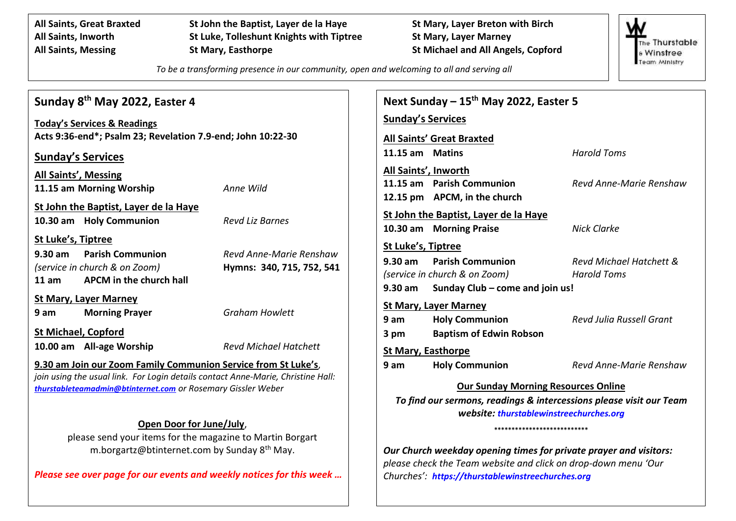**All Saints, Great Braxted St John the Baptist, Layer de la Haye St Mary, Layer Breton with Birch All Saints, Inworth St Luke, Tolleshunt Knights with Tiptree St Mary, Layer Marney All Saints, Messing St Mary, Easthorpe St Michael and All Angels, Copford**

The Thurstable **& Winstree** Team Ministry

*To be a transforming presence in our community, open and welcoming to all and serving all*

| Sunday 8 <sup>th</sup> May 2022, Easter 4                                        |                              | Next Sunday $-15^{th}$ May 2022, Easter 5                                                                         |                                  |                                 |  |
|----------------------------------------------------------------------------------|------------------------------|-------------------------------------------------------------------------------------------------------------------|----------------------------------|---------------------------------|--|
| <b>Today's Services &amp; Readings</b>                                           |                              | <b>Sunday's Services</b>                                                                                          |                                  |                                 |  |
| Acts 9:36-end*; Psalm 23; Revelation 7.9-end; John 10:22-30                      |                              |                                                                                                                   | <b>All Saints' Great Braxted</b> |                                 |  |
| <b>Sunday's Services</b>                                                         |                              | 11.15 am Matins                                                                                                   |                                  | <b>Harold Toms</b>              |  |
| <b>All Saints', Messing</b>                                                      |                              |                                                                                                                   | All Saints', Inworth             |                                 |  |
| 11.15 am Morning Worship                                                         | Anne Wild                    |                                                                                                                   | 11.15 am Parish Communion        | Revd Anne-Marie Renshaw         |  |
| St John the Baptist, Layer de la Haye                                            |                              |                                                                                                                   | 12.15 pm APCM, in the church     |                                 |  |
| 10.30 am Holy Communion<br><b>Revd Liz Barnes</b>                                |                              | St John the Baptist, Layer de la Haye                                                                             |                                  |                                 |  |
|                                                                                  |                              |                                                                                                                   | 10.30 am Morning Praise          | <b>Nick Clarke</b>              |  |
| St Luke's, Tiptree                                                               | St Luke's, Tiptree           |                                                                                                                   |                                  |                                 |  |
| $9.30 \text{ am}$<br><b>Parish Communion</b>                                     | Revd Anne-Marie Renshaw      | 9.30 am                                                                                                           | <b>Parish Communion</b>          | Revd Michael Hatchett &         |  |
| (service in church & on Zoom)<br>APCM in the church hall<br>11 am                | Hymns: 340, 715, 752, 541    |                                                                                                                   | (service in church & on Zoom)    | <b>Harold Toms</b>              |  |
|                                                                                  |                              | Sunday Club - come and join us!<br>$9.30$ am                                                                      |                                  |                                 |  |
| <b>St Mary, Layer Marney</b>                                                     |                              |                                                                                                                   | <b>St Mary, Layer Marney</b>     |                                 |  |
| 9 am<br><b>Morning Prayer</b>                                                    | <b>Graham Howlett</b>        | 9 am                                                                                                              | <b>Holy Communion</b>            | <b>Revd Julia Russell Grant</b> |  |
| <b>St Michael, Copford</b>                                                       |                              | 3 pm                                                                                                              | <b>Baptism of Edwin Robson</b>   |                                 |  |
| 10.00 am All-age Worship                                                         | <b>Revd Michael Hatchett</b> |                                                                                                                   | <b>St Mary, Easthorpe</b>        |                                 |  |
| 9.30 am Join our Zoom Family Communion Service from St Luke's,                   |                              | 9 am                                                                                                              | <b>Holy Communion</b>            | Revd Anne-Marie Renshaw         |  |
| join using the usual link. For Login details contact Anne-Marie, Christine Hall: |                              |                                                                                                                   |                                  |                                 |  |
| thurstableteamadmin@btinternet.com or Rosemary Gissler Weber                     |                              | <b>Our Sunday Morning Resources Online</b><br>To find our sermons, readings & intercessions please visit our Team |                                  |                                 |  |
|                                                                                  |                              | website: thurstablewinstreechurches.org                                                                           |                                  |                                 |  |
| Open Door for June/July,                                                         |                              | ***************************                                                                                       |                                  |                                 |  |
| please send your items for the magazine to Martin Borgart                        |                              |                                                                                                                   |                                  |                                 |  |
| m.borgartz@btinternet.com by Sunday 8 <sup>th</sup> May.                         |                              | Our Church weekday opening times for private prayer and visitors:                                                 |                                  |                                 |  |
|                                                                                  |                              | please check the Team website and click on drop-down menu 'Our                                                    |                                  |                                 |  |
| Please see over page for our events and weekly notices for this week             |                              | Churches': https://thurstablewinstreechurches.org                                                                 |                                  |                                 |  |